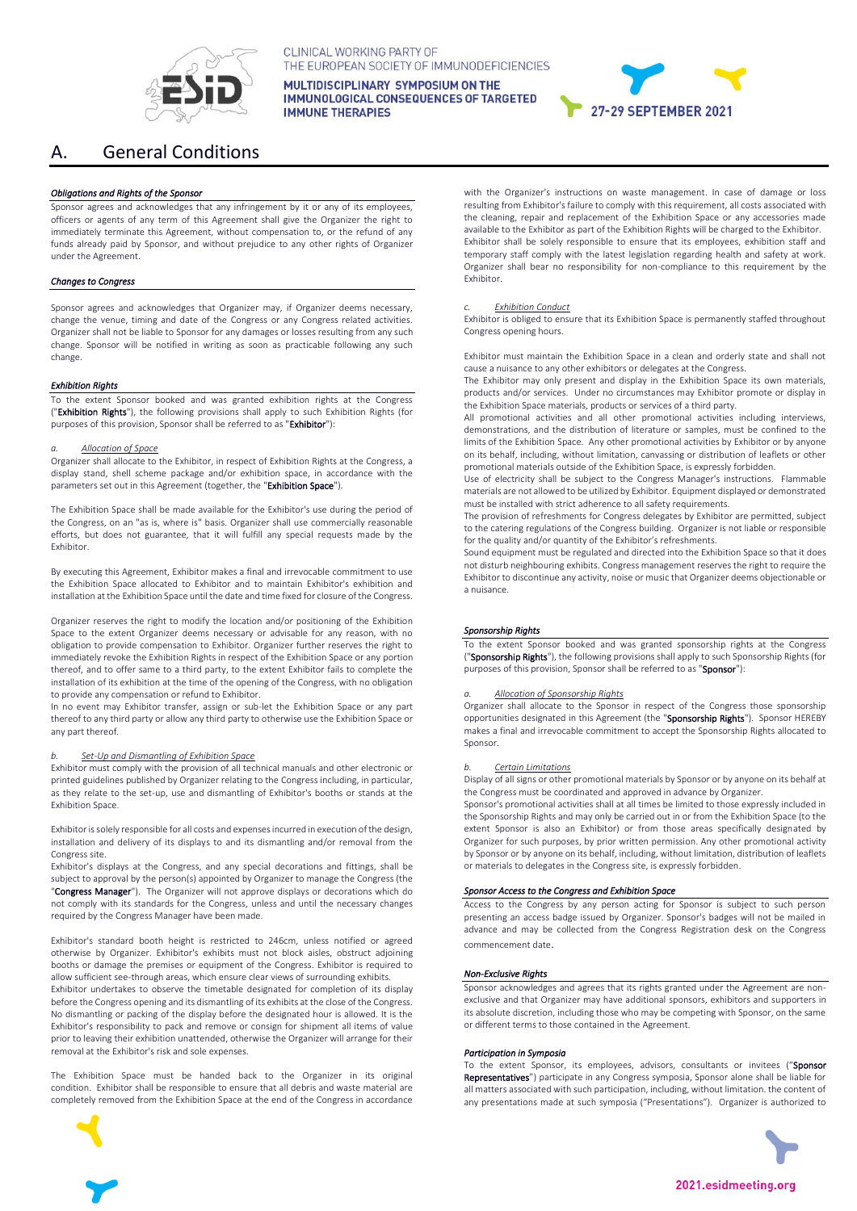

# A. General Conditions

# *Obligations and Rights of the Sponsor*

Sponsor agrees and acknowledges that any infringement by it or any of its employees, officers or agents of any term of this Agreement shall give the Organizer the right to immediately terminate this Agreement, without compensation to, or the refund of any funds already paid by Sponsor, and without prejudice to any other rights of Organizer under the Agreement.

# *Changes to Congress*

Sponsor agrees and acknowledges that Organizer may, if Organizer deems necessary, change the venue, timing and date of the Congress or any Congress related activities. Organizer shall not be liable to Sponsor for any damages or losses resulting from any such change. Sponsor will be notified in writing as soon as practicable following any such change.

#### *Exhibition Rights*

To the extent Sponsor booked and was granted exhibition rights at the Congress ("Exhibition Rights"), the following provisions shall apply to such Exhibition Rights (for purposes of this provision, Sponsor shall be referred to as "Exhibitor"):

#### *a. Allocation of Space*

Organizer shall allocate to the Exhibitor, in respect of Exhibition Rights at the Congress, a display stand, shell scheme package and/or exhibition space, in accordance with the parameters set out in this Agreement (together, the "Exhibition Space").

The Exhibition Space shall be made available for the Exhibitor's use during the period of the Congress, on an "as is, where is" basis. Organizer shall use commercially reasonable efforts, but does not guarantee, that it will fulfill any special requests made by the Exhibitor.

By executing this Agreement, Exhibitor makes a final and irrevocable commitment to use the Exhibition Space allocated to Exhibitor and to maintain Exhibitor's exhibition and installation at the Exhibition Space until the date and time fixed for closure of the Congress.

Organizer reserves the right to modify the location and/or positioning of the Exhibition Space to the extent Organizer deems necessary or advisable for any reason, with no obligation to provide compensation to Exhibitor. Organizer further reserves the right to immediately revoke the Exhibition Rights in respect of the Exhibition Space or any portion thereof, and to offer same to a third party, to the extent Exhibitor fails to complete the installation of its exhibition at the time of the opening of the Congress, with no obligation to provide any compensation or refund to Exhibitor.

In no event may Exhibitor transfer, assign or sub-let the Exhibition Space or any part thereof to any third party or allow any third party to otherwise use the Exhibition Space or any part thereof.

## *b. Set-Up and Dismantling of Exhibition Space*

Exhibitor must comply with the provision of all technical manuals and other electronic or printed guidelines published by Organizer relating to the Congress including, in particular, as they relate to the set-up, use and dismantling of Exhibitor's booths or stands at the Exhibition Space.

Exhibitor is solely responsible for all costs and expenses incurred in execution of the design, installation and delivery of its displays to and its dismantling and/or removal from the Congress site.

Exhibitor's displays at the Congress, and any special decorations and fittings, shall be subject to approval by the person(s) appointed by Organizer to manage the Congress (the "Congress Manager"). The Organizer will not approve displays or decorations which do not comply with its standards for the Congress, unless and until the necessary changes required by the Congress Manager have been made.

Exhibitor's standard booth height is restricted to 246cm, unless notified or agreed otherwise by Organizer. Exhibitor's exhibits must not block aisles, obstruct adjoining booths or damage the premises or equipment of the Congress. Exhibitor is required to allow sufficient see-through areas, which ensure clear views of surrounding exhibits.

Exhibitor undertakes to observe the timetable designated for completion of its display before the Congress opening and its dismantling of its exhibits at the close of the Congress. No dismantling or packing of the display before the designated hour is allowed. It is the Exhibitor's responsibility to pack and remove or consign for shipment all items of value prior to leaving their exhibition unattended, otherwise the Organizer will arrange for their removal at the Exhibitor's risk and sole expenses.

The Exhibition Space must be handed back to the Organizer in its original condition. Exhibitor shall be responsible to ensure that all debris and waste material are completely removed from the Exhibition Space at the end of the Congress in accordance



CLINICAL WORKING PARTY OF THE EUROPEAN SOCIETY OF IMMUNODEFICIENCIES MULTIDISCIPLINARY SYMPOSIUM ON THE

**IMMUNOLOGICAL CONSEQUENCES OF TARGETED IMMUNE THERAPIES** 



27-29 SEPTEMBER 2021

#### *c. Exhibition Conduct*

Exhibitor is obliged to ensure that its Exhibition Space is permanently staffed throughout Congress opening hours.

Exhibitor must maintain the Exhibition Space in a clean and orderly state and shall not cause a nuisance to any other exhibitors or delegates at the Congress.

The Exhibitor may only present and display in the Exhibition Space its own materials, products and/or services. Under no circumstances may Exhibitor promote or display in the Exhibition Space materials, products or services of a third party.

All promotional activities and all other promotional activities including interviews, demonstrations, and the distribution of literature or samples, must be confined to the limits of the Exhibition Space. Any other promotional activities by Exhibitor or by anyone on its behalf, including, without limitation, canvassing or distribution of leaflets or other promotional materials outside of the Exhibition Space, is expressly forbidden.

Use of electricity shall be subject to the Congress Manager's instructions. Flammable materials are not allowed to be utilized by Exhibitor. Equipment displayed or demonstrated must be installed with strict adherence to all safety requirements.

The provision of refreshments for Congress delegates by Exhibitor are permitted, subject to the catering regulations of the Congress building. Organizer is not liable or responsible for the quality and/or quantity of the Exhibitor's refreshments.

Sound equipment must be regulated and directed into the Exhibition Space so that it does not disturb neighbouring exhibits. Congress management reserves the right to require the Exhibitor to discontinue any activity, noise or music that Organizer deems objectionable or a nuisance.

# *Sponsorship Rights*

To the extent Sponsor booked and was granted sponsorship rights at the Congress ("Sponsorship Rights"), the following provisions shall apply to such Sponsorship Rights (for purposes of this provision, Sponsor shall be referred to as "Sponsor"):

#### *a. Allocation of Sponsorship Rights*

Organizer shall allocate to the Sponsor in respect of the Congress those sponsorship opportunities designated in this Agreement (the "Sponsorship Rights"). Sponsor HEREBY makes a final and irrevocable commitment to accept the Sponsorship Rights allocated to Sponsor.

#### *b. Certain Limitations*

Display of all signs or other promotional materials by Sponsor or by anyone on its behalf at the Congress must be coordinated and approved in advance by Organizer.

Sponsor's promotional activities shall at all times be limited to those expressly included in the Sponsorship Rights and may only be carried out in or from the Exhibition Space (to the extent Sponsor is also an Exhibitor) or from those areas specifically designated by Organizer for such purposes, by prior written permission. Any other promotional activity by Sponsor or by anyone on its behalf, including, without limitation, distribution of leaflets or materials to delegates in the Congress site, is expressly forbidden.

# *Sponsor Access to the Congress and Exhibition Space*

Access to the Congress by any person acting for Sponsor is subject to such person presenting an access badge issued by Organizer. Sponsor's badges will not be mailed in advance and may be collected from the Congress Registration desk on the Congress commencement date.

#### *Non-Exclusive Rights*

Sponsor acknowledges and agrees that its rights granted under the Agreement are nonexclusive and that Organizer may have additional sponsors, exhibitors and supporters in its absolute discretion, including those who may be competing with Sponsor, on the same or different terms to those contained in the Agreement.

#### *Participation in Symposia*

To the extent Sponsor, its employees, advisors, consultants or invitees ("Sponsor Representatives") participate in any Congress symposia, Sponsor alone shall be liable for all matters associated with such participation, including, without limitation. the content of any presentations made at such symposia ("Presentations"). Organizer is authorized to

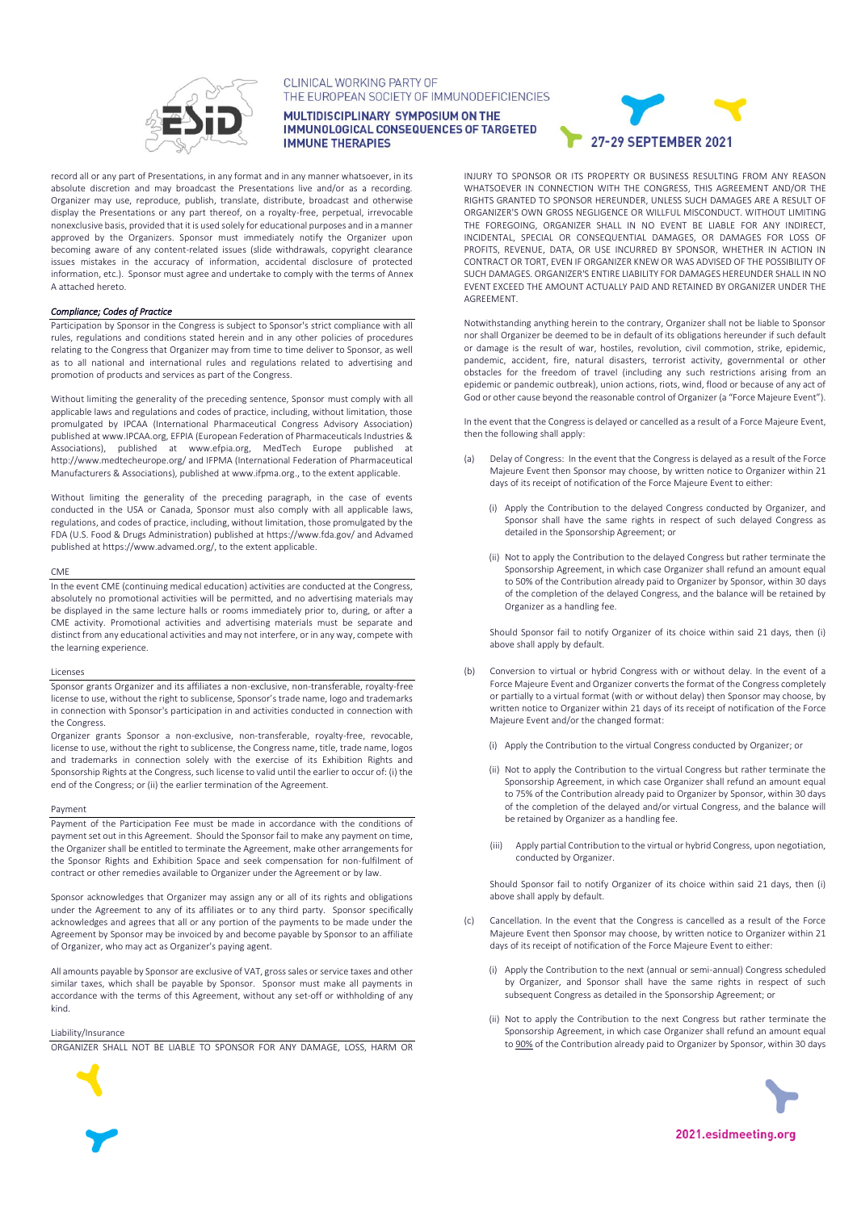

CLINICAL WORKING PARTY OF THE EUROPEAN SOCIETY OF IMMUNODEFICIENCIES

MULTIDISCIPLINARY SYMPOSIUM ON THE **IMMUNOLOGICAL CONSEQUENCES OF TARGETED IMMUNE THERAPIES** 

record all or any part of Presentations, in any format and in any manner whatsoever, in its absolute discretion and may broadcast the Presentations live and/or as a recording. Organizer may use, reproduce, publish, translate, distribute, broadcast and otherwise display the Presentations or any part thereof, on a royalty-free, perpetual, irrevocable nonexclusive basis, provided that it is used solely for educational purposes and in a manner approved by the Organizers. Sponsor must immediately notify the Organizer upon becoming aware of any content-related issues (slide withdrawals, copyright clearance issues mistakes in the accuracy of information, accidental disclosure of protected information, etc.). Sponsor must agree and undertake to comply with the terms of Annex A attached hereto.

# *Compliance; Codes of Practice*

Participation by Sponsor in the Congress is subject to Sponsor's strict compliance with all rules, regulations and conditions stated herein and in any other policies of procedures relating to the Congress that Organizer may from time to time deliver to Sponsor, as well as to all national and international rules and regulations related to advertising and promotion of products and services as part of the Congress.

Without limiting the generality of the preceding sentence, Sponsor must comply with all applicable laws and regulations and codes of practice, including, without limitation, those promulgated by IPCAA (International Pharmaceutical Congress Advisory Association) published a[t www.IPCAA.org,](http://www.ipcaa.org/) EFPIA (European Federation of Pharmaceuticals Industries & Associations), published at [www.efpia.org,](http://www.efpia.org/) MedTech Europe published at http://www.medtecheurope.org/ and IFPMA (International Federation of Pharmaceutical Manufacturers & Associations), published a[t www.ifpma.org.,](http://www.ifpma.org/) to the extent applicable.

Without limiting the generality of the preceding paragraph, in the case of events conducted in the USA or Canada, Sponsor must also comply with all applicable laws, regulations, and codes of practice, including, without limitation, those promulgated by the FDA (U.S. Food & Drugs Administration) published a[t https://www.fda.gov/](https://www.fda.gov/) and Advamed published a[t https://www.advamed.org/,](https://www.advamed.org/) to the extent applicable.

## CME

In the event CME (continuing medical education) activities are conducted at the Congress, absolutely no promotional activities will be permitted, and no advertising materials may be displayed in the same lecture halls or rooms immediately prior to, during, or after a CME activity. Promotional activities and advertising materials must be separate and distinct from any educational activities and may not interfere, or in any way, compete with the learning experience.

#### Licenses

Sponsor grants Organizer and its affiliates a non-exclusive, non-transferable, royalty-free license to use, without the right to sublicense, Sponsor's trade name, logo and trademarks in connection with Sponsor's participation in and activities conducted in connection with the Congress.

Organizer grants Sponsor a non-exclusive, non-transferable, royalty-free, revocable, license to use, without the right to sublicense, the Congress name, title, trade name, logos and trademarks in connection solely with the exercise of its Exhibition Rights and Sponsorship Rights at the Congress, such license to valid until the earlier to occur of: (i) the end of the Congress; or (ii) the earlier termination of the Agreement.

# Payment

Payment of the Participation Fee must be made in accordance with the conditions of payment set out in this Agreement. Should the Sponsor fail to make any payment on time, the Organizer shall be entitled to terminate the Agreement, make other arrangements for the Sponsor Rights and Exhibition Space and seek compensation for non-fulfilment of contract or other remedies available to Organizer under the Agreement or by law.

Sponsor acknowledges that Organizer may assign any or all of its rights and obligations under the Agreement to any of its affiliates or to any third party. Sponsor specifically acknowledges and agrees that all or any portion of the payments to be made under the Agreement by Sponsor may be invoiced by and become payable by Sponsor to an affiliate of Organizer, who may act as Organizer's paying agent.

All amounts payable by Sponsor are exclusive of VAT, gross sales or service taxes and other similar taxes, which shall be payable by Sponsor. Sponsor must make all payments in accordance with the terms of this Agreement, without any set-off or withholding of any kind.

Liability/Insurance

ORGANIZER SHALL NOT BE LIABLE TO SPONSOR FOR ANY DAMAGE, LOSS, HARM OR



INJURY TO SPONSOR OR ITS PROPERTY OR BUSINESS RESULTING FROM ANY REASON WHATSOEVER IN CONNECTION WITH THE CONGRESS, THIS AGREEMENT AND/OR THE RIGHTS GRANTED TO SPONSOR HEREUNDER, UNLESS SUCH DAMAGES ARE A RESULT OF ORGANIZER'S OWN GROSS NEGLIGENCE OR WILLFUL MISCONDUCT. WITHOUT LIMITING THE FOREGOING, ORGANIZER SHALL IN NO EVENT BE LIABLE FOR ANY INDIRECT, INCIDENTAL, SPECIAL OR CONSEQUENTIAL DAMAGES, OR DAMAGES FOR LOSS OF PROFITS, REVENUE, DATA, OR USE INCURRED BY SPONSOR, WHETHER IN ACTION IN CONTRACT OR TORT, EVEN IF ORGANIZER KNEW OR WAS ADVISED OF THE POSSIBILITY OF SUCH DAMAGES. ORGANIZER'S ENTIRE LIABILITY FOR DAMAGES HEREUNDER SHALL IN NO EVENT EXCEED THE AMOUNT ACTUALLY PAID AND RETAINED BY ORGANIZER UNDER THE AGREEMENT.

Notwithstanding anything herein to the contrary, Organizer shall not be liable to Sponsor nor shall Organizer be deemed to be in default of its obligations hereunder if such default or damage is the result of war, hostiles, revolution, civil commotion, strike, epidemic, pandemic, accident, fire, natural disasters, terrorist activity, governmental or other obstacles for the freedom of travel (including any such restrictions arising from an epidemic or pandemic outbreak), union actions, riots, wind, flood or because of any act of God or other cause beyond the reasonable control of Organizer (a "Force Majeure Event").

In the event that the Congress is delayed or cancelled as a result of a Force Majeure Event, then the following shall apply:

- Delay of Congress: In the event that the Congress is delayed as a result of the Force Majeure Event then Sponsor may choose, by written notice to Organizer within 21 days of its receipt of notification of the Force Majeure Event to either:
	- (i) Apply the Contribution to the delayed Congress conducted by Organizer, and Sponsor shall have the same rights in respect of such delayed Congress as detailed in the Sponsorship Agreement; or
	- (ii) Not to apply the Contribution to the delayed Congress but rather terminate the Sponsorship Agreement, in which case Organizer shall refund an amount equal to 50% of the Contribution already paid to Organizer by Sponsor, within 30 days of the completion of the delayed Congress, and the balance will be retained by Organizer as a handling fee.

Should Sponsor fail to notify Organizer of its choice within said 21 days, then (i) above shall apply by default.

- (b) Conversion to virtual or hybrid Congress with or without delay. In the event of a Force Majeure Event and Organizer converts the format of the Congress completely or partially to a virtual format (with or without delay) then Sponsor may choose, by written notice to Organizer within 21 days of its receipt of notification of the Force Majeure Event and/or the changed format:
	- (i) Apply the Contribution to the virtual Congress conducted by Organizer; or
	- (ii) Not to apply the Contribution to the virtual Congress but rather terminate the Sponsorship Agreement, in which case Organizer shall refund an amount equal to 75% of the Contribution already paid to Organizer by Sponsor, within 30 days of the completion of the delayed and/or virtual Congress, and the balance will be retained by Organizer as a handling fee.
	- (iii) Apply partial Contribution to the virtual or hybrid Congress, upon negotiation, conducted by Organizer.

Should Sponsor fail to notify Organizer of its choice within said 21 days, then (i) above shall apply by default.

- (c) Cancellation. In the event that the Congress is cancelled as a result of the Force Majeure Event then Sponsor may choose, by written notice to Organizer within 21 days of its receipt of notification of the Force Majeure Event to either:
	- (i) Apply the Contribution to the next (annual or semi-annual) Congress scheduled by Organizer, and Sponsor shall have the same rights in respect of such subsequent Congress as detailed in the Sponsorship Agreement; or
	- (ii) Not to apply the Contribution to the next Congress but rather terminate the Sponsorship Agreement, in which case Organizer shall refund an amount equal to 90% of the Contribution already paid to Organizer by Sponsor, within 30 days



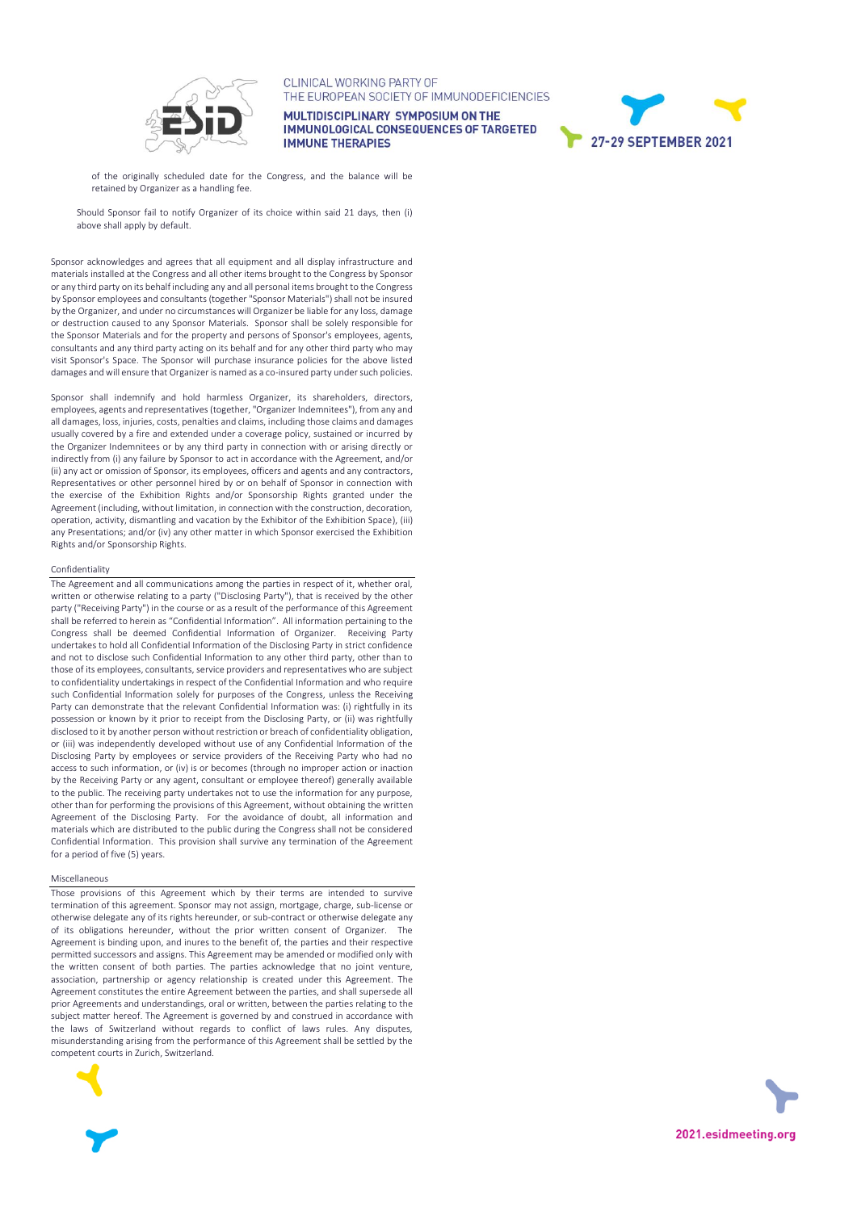

CLINICAL WORKING PARTY OF THE EUROPEAN SOCIETY OF IMMUNODEFICIENCIES

MULTIDISCIPLINARY SYMPOSIUM ON THE **IMMUNOLOGICAL CONSEQUENCES OF TARGETED IMMUNE THERAPIES** 



of the originally scheduled date for the Congress, and the balance will be retained by Organizer as a handling fee.

Should Sponsor fail to notify Organizer of its choice within said 21 days, then (i) above shall apply by default.

Sponsor acknowledges and agrees that all equipment and all display infrastructure and materials installed at the Congress and all other items brought to the Congress by Sponsor or any third party on its behalf including any and all personal items brought to the Congress by Sponsor employees and consultants (together "Sponsor Materials") shall not be insured by the Organizer, and under no circumstances will Organizer be liable for any loss, damage or destruction caused to any Sponsor Materials. Sponsor shall be solely responsible for the Sponsor Materials and for the property and persons of Sponsor's employees, agents, consultants and any third party acting on its behalf and for any other third party who may visit Sponsor's Space. The Sponsor will purchase insurance policies for the above listed damages and will ensure that Organizer is named as a co-insured party under such policies.

Sponsor shall indemnify and hold harmless Organizer, its shareholders, directors, employees, agents and representatives (together, "Organizer Indemnitees"), from any and all damages, loss, injuries, costs, penalties and claims, including those claims and damages usually covered by a fire and extended under a coverage policy, sustained or incurred by the Organizer Indemnitees or by any third party in connection with or arising directly or indirectly from (i) any failure by Sponsor to act in accordance with the Agreement, and/or (ii) any act or omission of Sponsor, its employees, officers and agents and any contractors, Representatives or other personnel hired by or on behalf of Sponsor in connection with the exercise of the Exhibition Rights and/or Sponsorship Rights granted under the Agreement (including, without limitation, in connection with the construction, decoration, operation, activity, dismantling and vacation by the Exhibitor of the Exhibition Space), (iii) any Presentations; and/or (iv) any other matter in which Sponsor exercised the Exhibition Rights and/or Sponsorship Rights.

#### **Confidentiality**

The Agreement and all communications among the parties in respect of it, whether oral, written or otherwise relating to a party ("Disclosing Party"), that is received by the other party ("Receiving Party") in the course or as a result of the performance of this Agreement shall be referred to herein as "Confidential Information". All information pertaining to the Congress shall be deemed Confidential Information of Organizer. Receiving Party undertakes to hold all Confidential Information of the Disclosing Party in strict confidence and not to disclose such Confidential Information to any other third party, other than to those of its employees, consultants, service providers and representatives who are subject to confidentiality undertakings in respect of the Confidential Information and who require such Confidential Information solely for purposes of the Congress, unless the Receiving Party can demonstrate that the relevant Confidential Information was: (i) rightfully in its possession or known by it prior to receipt from the Disclosing Party, or (ii) was rightfully disclosed to it by another person without restriction or breach of confidentiality obligation, or (iii) was independently developed without use of any Confidential Information of the Disclosing Party by employees or service providers of the Receiving Party who had no access to such information, or (iv) is or becomes (through no improper action or inaction by the Receiving Party or any agent, consultant or employee thereof) generally available to the public. The receiving party undertakes not to use the information for any purpose, other than for performing the provisions of this Agreement, without obtaining the written Agreement of the Disclosing Party. For the avoidance of doubt, all information and materials which are distributed to the public during the Congress shall not be considered Confidential Information. This provision shall survive any termination of the Agreement for a period of five (5) years.

#### Miscellaneous

Those provisions of this Agreement which by their terms are intended to survive termination of this agreement. Sponsor may not assign, mortgage, charge, sub-license or otherwise delegate any of its rights hereunder, or sub-contract or otherwise delegate any of its obligations hereunder, without the prior written consent of Organizer. The Agreement is binding upon, and inures to the benefit of, the parties and their respective permitted successors and assigns. This Agreement may be amended or modified only with the written consent of both parties. The parties acknowledge that no joint venture, association, partnership or agency relationship is created under this Agreement. The Agreement constitutes the entire Agreement between the parties, and shall supersede all prior Agreements and understandings, oral or written, between the parties relating to the subject matter hereof. The Agreement is governed by and construed in accordance with the laws of Switzerland without regards to conflict of laws rules. Any disputes, misunderstanding arising from the performance of this Agreement shall be settled by the competent courts in Zurich, Switzerland.



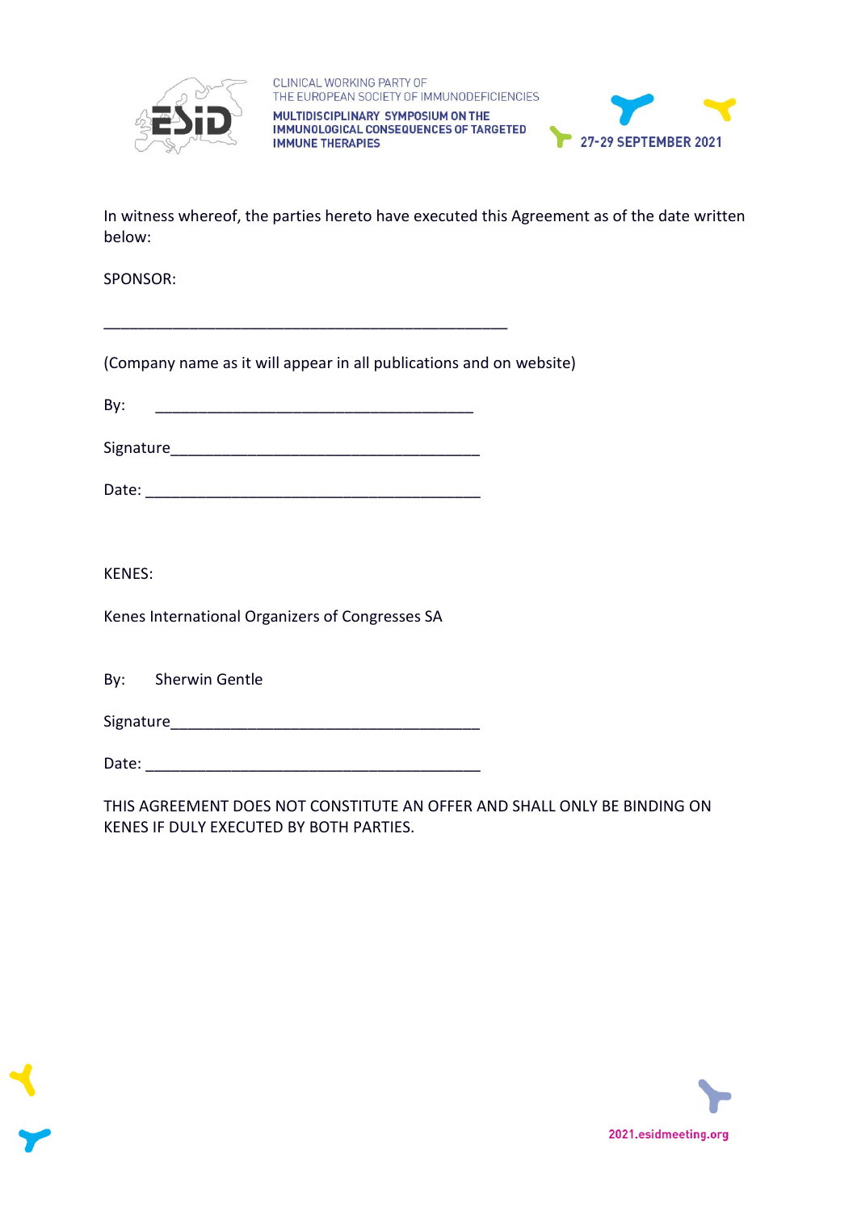



In witness whereof, the parties hereto have executed this Agreement as of the date written below:

SPONSOR:

(Company name as it will appear in all publications and on website)

\_\_\_\_\_\_\_\_\_\_\_\_\_\_\_\_\_\_\_\_\_\_\_\_\_\_\_\_\_\_\_\_\_\_\_\_\_\_\_\_\_\_\_\_\_\_\_

 $\mathsf{By:}$ 

Signature\_\_\_\_\_\_\_\_\_\_\_\_\_\_\_\_\_\_\_\_\_\_\_\_\_\_\_\_\_\_\_\_\_\_\_\_

Date: \_\_\_\_\_\_\_\_\_\_\_\_\_\_\_\_\_\_\_\_\_\_\_\_\_\_\_\_\_\_\_\_\_\_\_\_\_\_\_

KENES:

Kenes International Organizers of Congresses SA

By: Sherwin Gentle

Signature\_\_\_\_\_\_\_\_\_\_\_\_\_\_\_\_\_\_\_\_\_\_\_\_\_\_\_\_\_\_\_\_\_\_\_\_

Date:

THIS AGREEMENT DOES NOT CONSTITUTE AN OFFER AND SHALL ONLY BE BINDING ON KENES IF DULY EXECUTED BY BOTH PARTIES.